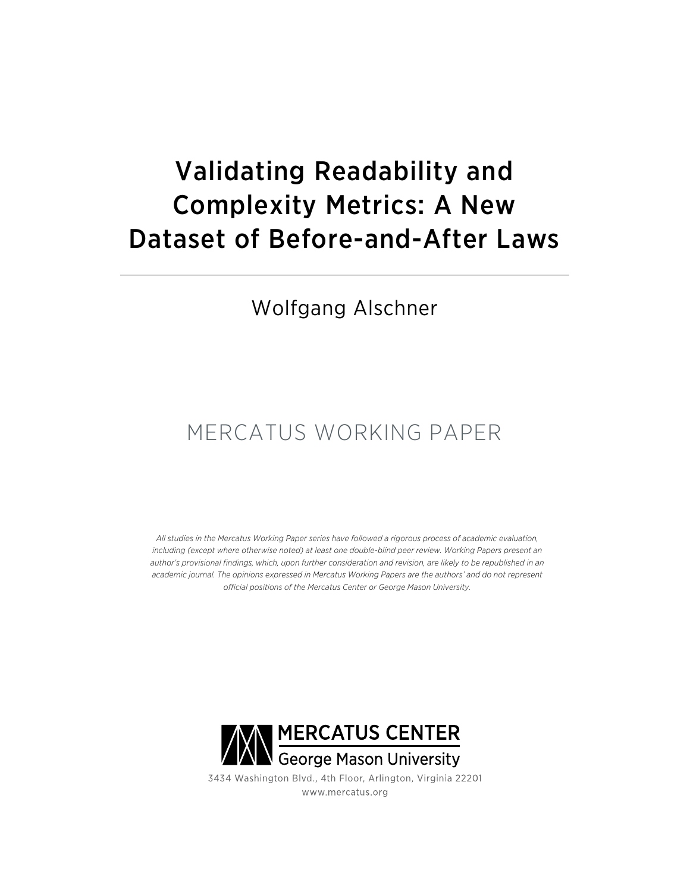# Validating Readability and Complexity Metrics: A New Dataset of Before-and-After Laws

### Wolfgang Alschner

## MERCATUS WORKING PAPER

*All studies in the Mercatus Working Paper series have followed a rigorous process of academic evaluation, including (except where otherwise noted) at least one double-blind peer review. Working Papers present an*  author's provisional findings, which, upon further consideration and revision, are likely to be republished in an *academic journal. The opinions expressed in Mercatus Working Papers are the authors' and do not represent official positions of the Mercatus Center or George Mason University.*



3434 Washington Blvd., 4th Floor, Arlington, Virginia 22201 www.mercatus.org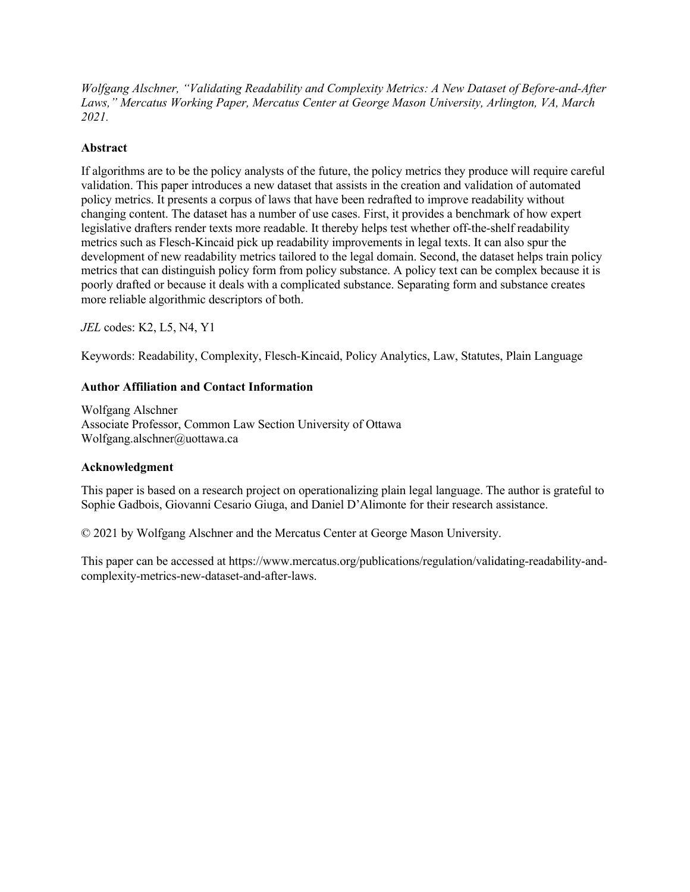*Wolfgang Alschner, "Validating Readability and Complexity Metrics: A New Dataset of Before-and-After Laws," Mercatus Working Paper, Mercatus Center at George Mason University, Arlington, VA, March 2021.*

#### **Abstract**

If algorithms are to be the policy analysts of the future, the policy metrics they produce will require careful validation. This paper introduces a new dataset that assists in the creation and validation of automated policy metrics. It presents a corpus of laws that have been redrafted to improve readability without changing content. The dataset has a number of use cases. First, it provides a benchmark of how expert legislative drafters render texts more readable. It thereby helps test whether off-the-shelf readability metrics such as Flesch-Kincaid pick up readability improvements in legal texts. It can also spur the development of new readability metrics tailored to the legal domain. Second, the dataset helps train policy metrics that can distinguish policy form from policy substance. A policy text can be complex because it is poorly drafted or because it deals with a complicated substance. Separating form and substance creates more reliable algorithmic descriptors of both.

*JEL* codes: K2, L5, N4, Y1

Keywords: Readability, Complexity, Flesch-Kincaid, Policy Analytics, Law, Statutes, Plain Language

#### **Author Affiliation and Contact Information**

Wolfgang Alschner Associate Professor, Common Law Section University of Ottawa Wolfgang.alschner@uottawa.ca

#### **Acknowledgment**

This paper is based on a research project on operationalizing plain legal language. The author is grateful to Sophie Gadbois, Giovanni Cesario Giuga, and Daniel D'Alimonte for their research assistance.

© 2021 by Wolfgang Alschner and the Mercatus Center at George Mason University.

This paper can be accessed at [https://www.mercatus.org/publications/regulation/validating-readability-and](https://www.mercatus.org/publications/regulation/validating-readability-and-complexity-metrics-new-dataset-and-after-laws)[complexity-metrics-new-dataset-and-after-laws.](https://www.mercatus.org/publications/regulation/validating-readability-and-complexity-metrics-new-dataset-and-after-laws)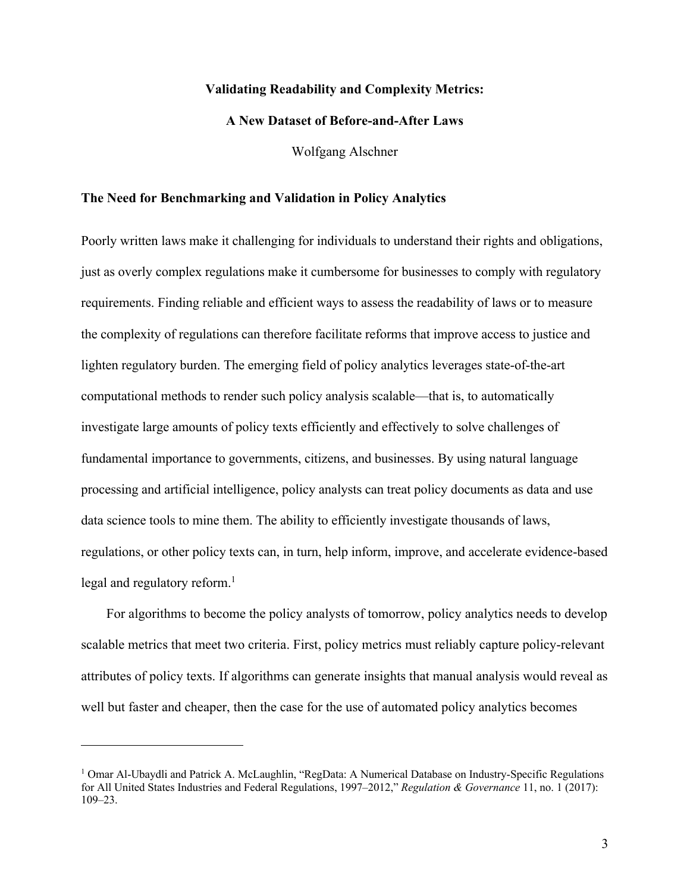#### **Validating Readability and Complexity Metrics:**

#### **A New Dataset of Before-and-After Laws**

Wolfgang Alschner

#### **The Need for Benchmarking and Validation in Policy Analytics**

Poorly written laws make it challenging for individuals to understand their rights and obligations, just as overly complex regulations make it cumbersome for businesses to comply with regulatory requirements. Finding reliable and efficient ways to assess the readability of laws or to measure the complexity of regulations can therefore facilitate reforms that improve access to justice and lighten regulatory burden. The emerging field of policy analytics leverages state-of-the-art computational methods to render such policy analysis scalable—that is, to automatically investigate large amounts of policy texts efficiently and effectively to solve challenges of fundamental importance to governments, citizens, and businesses. By using natural language processing and artificial intelligence, policy analysts can treat policy documents as data and use data science tools to mine them. The ability to efficiently investigate thousands of laws, regulations, or other policy texts can, in turn, help inform, improve, and accelerate evidence-based legal and regulatory reform.<sup>1</sup>

For algorithms to become the policy analysts of tomorrow, policy analytics needs to develop scalable metrics that meet two criteria. First, policy metrics must reliably capture policy-relevant attributes of policy texts. If algorithms can generate insights that manual analysis would reveal as well but faster and cheaper, then the case for the use of automated policy analytics becomes

<sup>&</sup>lt;sup>1</sup> Omar Al-Ubaydli and Patrick A. McLaughlin, "RegData: A Numerical Database on Industry-Specific Regulations for All United States Industries and Federal Regulations, 1997–2012," *Regulation & Governance* 11, no. 1 (2017): 109–23.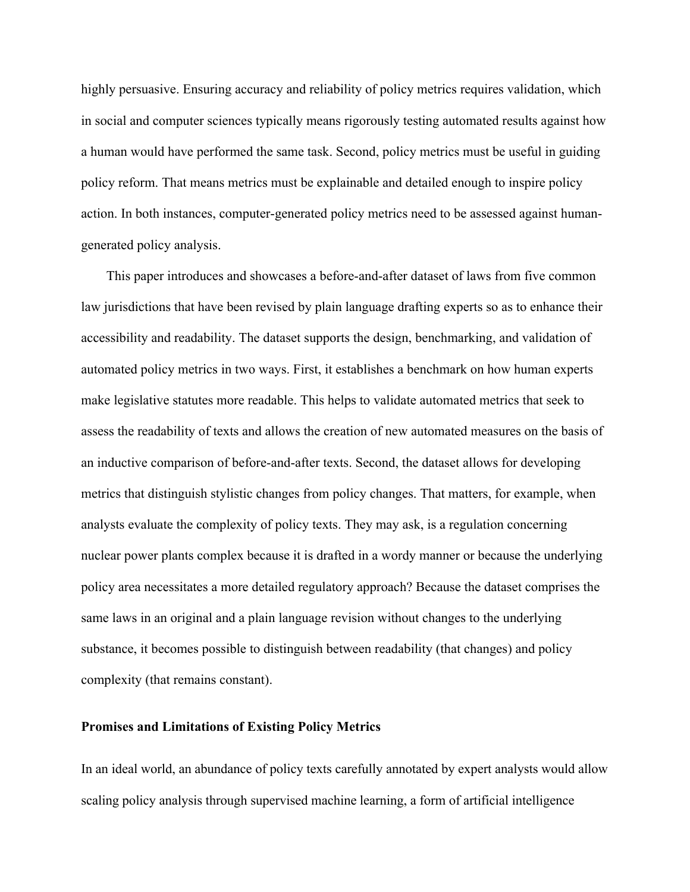highly persuasive. Ensuring accuracy and reliability of policy metrics requires validation, which in social and computer sciences typically means rigorously testing automated results against how a human would have performed the same task. Second, policy metrics must be useful in guiding policy reform. That means metrics must be explainable and detailed enough to inspire policy action. In both instances, computer-generated policy metrics need to be assessed against humangenerated policy analysis.

This paper introduces and showcases a before-and-after dataset of laws from five common law jurisdictions that have been revised by plain language drafting experts so as to enhance their accessibility and readability. The dataset supports the design, benchmarking, and validation of automated policy metrics in two ways. First, it establishes a benchmark on how human experts make legislative statutes more readable. This helps to validate automated metrics that seek to assess the readability of texts and allows the creation of new automated measures on the basis of an inductive comparison of before-and-after texts. Second, the dataset allows for developing metrics that distinguish stylistic changes from policy changes. That matters, for example, when analysts evaluate the complexity of policy texts. They may ask, is a regulation concerning nuclear power plants complex because it is drafted in a wordy manner or because the underlying policy area necessitates a more detailed regulatory approach? Because the dataset comprises the same laws in an original and a plain language revision without changes to the underlying substance, it becomes possible to distinguish between readability (that changes) and policy complexity (that remains constant).

#### **Promises and Limitations of Existing Policy Metrics**

In an ideal world, an abundance of policy texts carefully annotated by expert analysts would allow scaling policy analysis through supervised machine learning, a form of artificial intelligence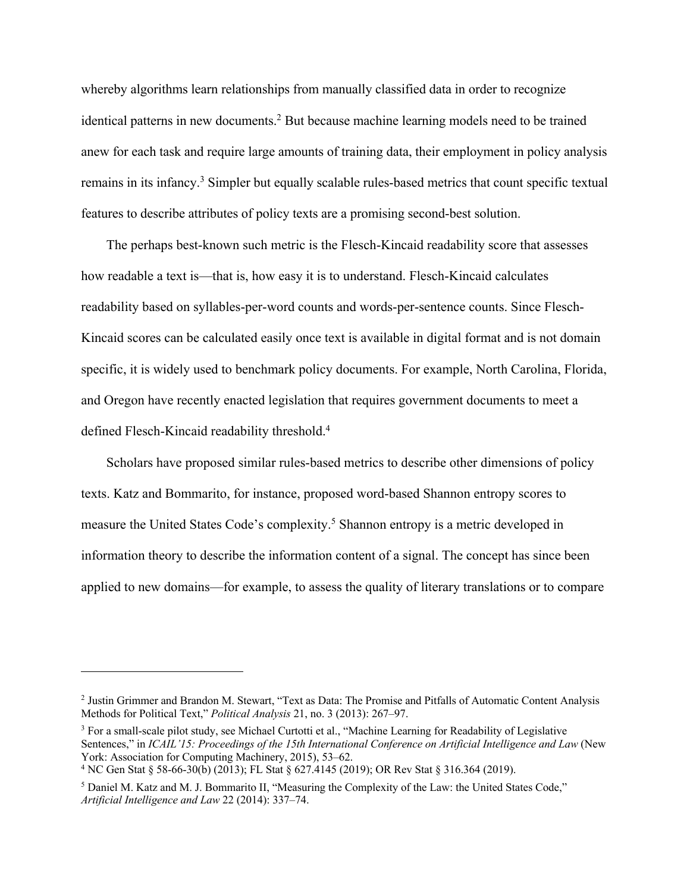whereby algorithms learn relationships from manually classified data in order to recognize identical patterns in new documents.<sup>2</sup> But because machine learning models need to be trained anew for each task and require large amounts of training data, their employment in policy analysis remains in its infancy.<sup>3</sup> Simpler but equally scalable rules-based metrics that count specific textual features to describe attributes of policy texts are a promising second-best solution.

The perhaps best-known such metric is the Flesch-Kincaid readability score that assesses how readable a text is—that is, how easy it is to understand. Flesch-Kincaid calculates readability based on syllables-per-word counts and words-per-sentence counts. Since Flesch-Kincaid scores can be calculated easily once text is available in digital format and is not domain specific, it is widely used to benchmark policy documents. For example, North Carolina, Florida, and Oregon have recently enacted legislation that requires government documents to meet a defined Flesch-Kincaid readability threshold. 4

Scholars have proposed similar rules-based metrics to describe other dimensions of policy texts. Katz and Bommarito, for instance, proposed word-based Shannon entropy scores to measure the United States Code's complexity. <sup>5</sup> Shannon entropy is a metric developed in information theory to describe the information content of a signal. The concept has since been applied to new domains—for example, to assess the quality of literary translations or to compare

<sup>2</sup> Justin Grimmer and Brandon M. Stewart, "Text as Data: The Promise and Pitfalls of Automatic Content Analysis Methods for Political Text," *Political Analysis* 21, no. 3 (2013): 267–97.

<sup>&</sup>lt;sup>3</sup> For a small-scale pilot study, see Michael Curtotti et al., "Machine Learning for Readability of Legislative Sentences," in *ICAIL'15: Proceedings of the 15th International Conference on Artificial Intelligence and Law* (New York: Association for Computing Machinery, 2015), 53–62.

<sup>&</sup>lt;sup>4</sup> NC Gen Stat § 58-66-30(b) (2013); FL Stat § 627.4145 (2019); OR Rev Stat § 316.364 (2019).

<sup>5</sup> Daniel M. Katz and M. J. Bommarito II, "Measuring the Complexity of the Law: the United States Code," *Artificial Intelligence and Law* 22 (2014): 337–74.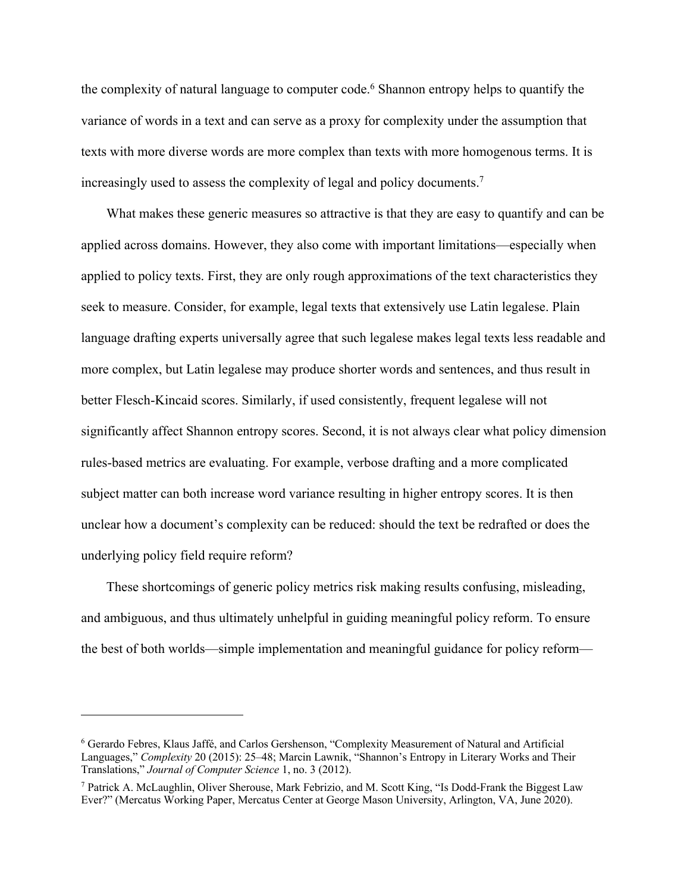the complexity of natural language to computer code.<sup>6</sup> Shannon entropy helps to quantify the variance of words in a text and can serve as a proxy for complexity under the assumption that texts with more diverse words are more complex than texts with more homogenous terms. It is increasingly used to assess the complexity of legal and policy documents.7

What makes these generic measures so attractive is that they are easy to quantify and can be applied across domains. However, they also come with important limitations—especially when applied to policy texts. First, they are only rough approximations of the text characteristics they seek to measure. Consider, for example, legal texts that extensively use Latin legalese. Plain language drafting experts universally agree that such legalese makes legal texts less readable and more complex, but Latin legalese may produce shorter words and sentences, and thus result in better Flesch-Kincaid scores. Similarly, if used consistently, frequent legalese will not significantly affect Shannon entropy scores. Second, it is not always clear what policy dimension rules-based metrics are evaluating. For example, verbose drafting and a more complicated subject matter can both increase word variance resulting in higher entropy scores. It is then unclear how a document's complexity can be reduced: should the text be redrafted or does the underlying policy field require reform?

These shortcomings of generic policy metrics risk making results confusing, misleading, and ambiguous, and thus ultimately unhelpful in guiding meaningful policy reform. To ensure the best of both worlds—simple implementation and meaningful guidance for policy reform—

<sup>6</sup> Gerardo Febres, Klaus Jaffé, and Carlos Gershenson, "Complexity Measurement of Natural and Artificial Languages," *Complexity* 20 (2015): 25–48; Marcin Lawnik, "Shannon's Entropy in Literary Works and Their Translations," *Journal of Computer Science* 1, no. 3 (2012).

<sup>7</sup> Patrick A. McLaughlin, Oliver Sherouse, Mark Febrizio, and M. Scott King, "Is Dodd-Frank the Biggest Law Ever?" (Mercatus Working Paper, Mercatus Center at George Mason University, Arlington, VA, June 2020).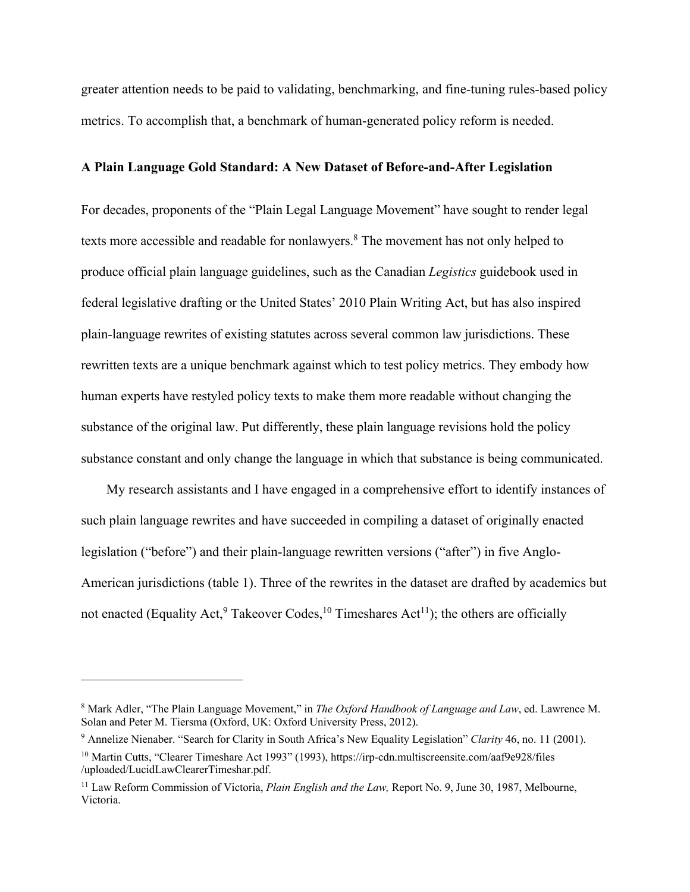greater attention needs to be paid to validating, benchmarking, and fine-tuning rules-based policy metrics. To accomplish that, a benchmark of human-generated policy reform is needed.

#### **A Plain Language Gold Standard: A New Dataset of Before-and-After Legislation**

For decades, proponents of the "Plain Legal Language Movement" have sought to render legal texts more accessible and readable for nonlawyers.<sup>8</sup> The movement has not only helped to produce official plain language guidelines, such as the Canadian *Legistics* guidebook used in federal legislative drafting or the United States' 2010 Plain Writing Act, but has also inspired plain-language rewrites of existing statutes across several common law jurisdictions. These rewritten texts are a unique benchmark against which to test policy metrics. They embody how human experts have restyled policy texts to make them more readable without changing the substance of the original law. Put differently, these plain language revisions hold the policy substance constant and only change the language in which that substance is being communicated.

My research assistants and I have engaged in a comprehensive effort to identify instances of such plain language rewrites and have succeeded in compiling a dataset of originally enacted legislation ("before") and their plain-language rewritten versions ("after") in five Anglo-American jurisdictions (table 1). Three of the rewrites in the dataset are drafted by academics but not enacted (Equality Act,  $9$  Takeover Codes,  $10$  Timeshares Act<sup>11</sup>); the others are officially

<sup>8</sup> Mark Adler, "The Plain Language Movement," in *The Oxford Handbook of Language and Law*, ed. Lawrence M. Solan and Peter M. Tiersma (Oxford, UK: Oxford University Press, 2012).

<sup>9</sup> Annelize Nienaber. "Search for Clarity in South Africa's New Equality Legislation" *Clarity* 46, no. 11 (2001). <sup>10</sup> Martin Cutts, "Clearer Timeshare Act 1993" (1993), [https://irp-cdn.multiscreensite.com/aaf9e928/files](https://irp-cdn.multiscreensite.com/aaf9e928/files/uploaded/LucidLawClearerTimeshar.pdf) [/uploaded/LucidLawClearerTimeshar.pdf.](https://irp-cdn.multiscreensite.com/aaf9e928/files/uploaded/LucidLawClearerTimeshar.pdf)

<sup>11</sup> Law Reform Commission of Victoria, *Plain English and the Law,* Report No. 9, June 30, 1987, Melbourne, Victoria.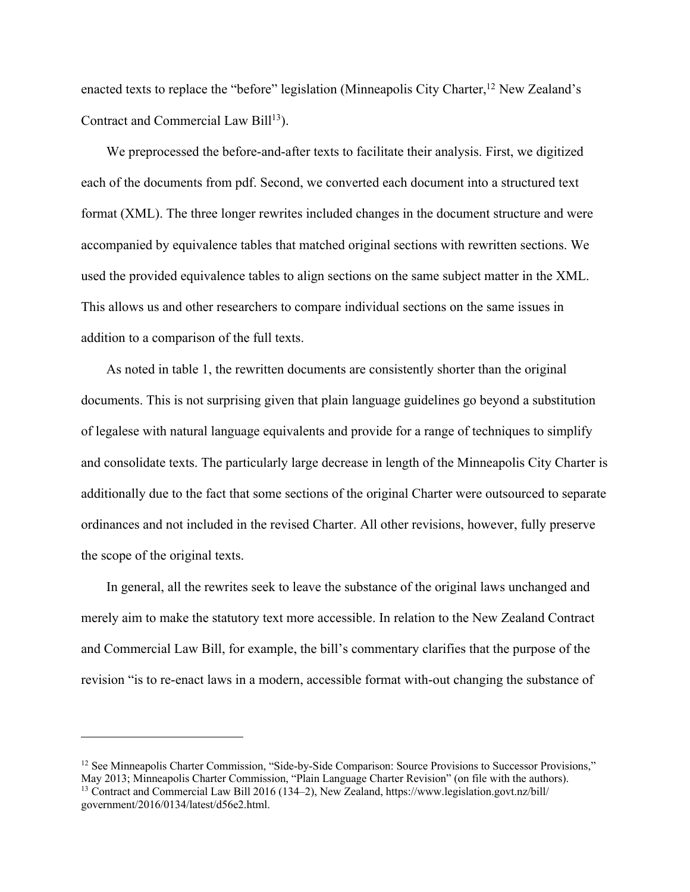enacted texts to replace the "before" legislation (Minneapolis City Charter,  $^{12}$  New Zealand's Contract and Commercial Law Bill<sup>13</sup>).

We preprocessed the before-and-after texts to facilitate their analysis. First, we digitized each of the documents from pdf. Second, we converted each document into a structured text format (XML). The three longer rewrites included changes in the document structure and were accompanied by equivalence tables that matched original sections with rewritten sections. We used the provided equivalence tables to align sections on the same subject matter in the XML. This allows us and other researchers to compare individual sections on the same issues in addition to a comparison of the full texts.

As noted in table 1, the rewritten documents are consistently shorter than the original documents. This is not surprising given that plain language guidelines go beyond a substitution of legalese with natural language equivalents and provide for a range of techniques to simplify and consolidate texts. The particularly large decrease in length of the Minneapolis City Charter is additionally due to the fact that some sections of the original Charter were outsourced to separate ordinances and not included in the revised Charter. All other revisions, however, fully preserve the scope of the original texts.

In general, all the rewrites seek to leave the substance of the original laws unchanged and merely aim to make the statutory text more accessible. In relation to the New Zealand Contract and Commercial Law Bill, for example, the bill's commentary clarifies that the purpose of the revision "is to re-enact laws in a modern, accessible format with-out changing the substance of

<sup>&</sup>lt;sup>12</sup> See Minneapolis Charter Commission, "Side-by-Side Comparison: Source Provisions to Successor Provisions,"<br>May 2013; Minneapolis Charter Commission, "Plain Language Charter Revision" (on file with the authors). <sup>13</sup> Contract and Commercial Law Bill 2016 (134–2), New Zealand, [https://www.legislation.govt.nz/bill/](https://www.legislation.govt.nz/bill/government/2016/0134/latest/d56e2.html) [government/2016/0134/latest/d56e2.html.](https://www.legislation.govt.nz/bill/government/2016/0134/latest/d56e2.html)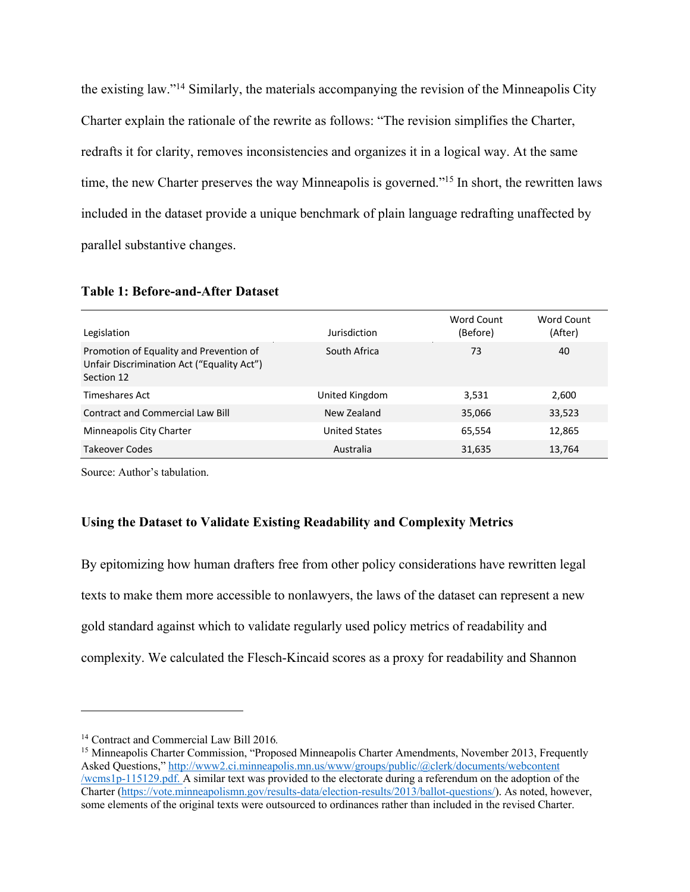the existing law."14 Similarly, the materials accompanying the revision of the Minneapolis City Charter explain the rationale of the rewrite as follows: "The revision simplifies the Charter, redrafts it for clarity, removes inconsistencies and organizes it in a logical way. At the same time, the new Charter preserves the way Minneapolis is governed."<sup>15</sup> In short, the rewritten laws included in the dataset provide a unique benchmark of plain language redrafting unaffected by parallel substantive changes.

| Legislation                                                                                         | Jurisdiction         | Word Count<br>(Before) | Word Count<br>(After) |
|-----------------------------------------------------------------------------------------------------|----------------------|------------------------|-----------------------|
| Promotion of Equality and Prevention of<br>Unfair Discrimination Act ("Equality Act")<br>Section 12 | South Africa         | 73                     | 40                    |
| Timeshares Act                                                                                      | United Kingdom       | 3,531                  | 2,600                 |
| <b>Contract and Commercial Law Bill</b>                                                             | New Zealand          | 35,066                 | 33,523                |
| Minneapolis City Charter                                                                            | <b>United States</b> | 65,554                 | 12,865                |
| <b>Takeover Codes</b>                                                                               | Australia            | 31,635                 | 13,764                |

#### **Table 1: Before-and-After Dataset**

Source: Author's tabulation.

#### **Using the Dataset to Validate Existing Readability and Complexity Metrics**

By epitomizing how human drafters free from other policy considerations have rewritten legal texts to make them more accessible to nonlawyers, the laws of the dataset can represent a new gold standard against which to validate regularly used policy metrics of readability and complexity. We calculated the Flesch-Kincaid scores as a proxy for readability and Shannon

<sup>14</sup> Contract and Commercial Law Bill 2016*.*

<sup>&</sup>lt;sup>15</sup> Minneapolis Charter Commission, "Proposed Minneapolis Charter Amendments, November 2013, Frequently Asked Questions," [http://www2.ci.minneapolis.mn.us/www/groups/public/@clerk/documents/webcontent](https://www2.minneapolismn.gov/www/groups/public/@clerk/documents/webcontent/wcms1p-115129.pdf) [/wcms1p-115129.pdf.](https://www2.minneapolismn.gov/www/groups/public/@clerk/documents/webcontent/wcms1p-115129.pdf) A similar text was provided to the electorate during a referendum on the adoption of the Charter ([https://vote.minneapolismn.gov/results-data/election-results/2013/ballot-questions/\)](https://vote.minneapolismn.gov/results-data/election-results/2013/ballot-questions/). As noted, however, some elements of the original texts were outsourced to ordinances rather than included in the revised Charter.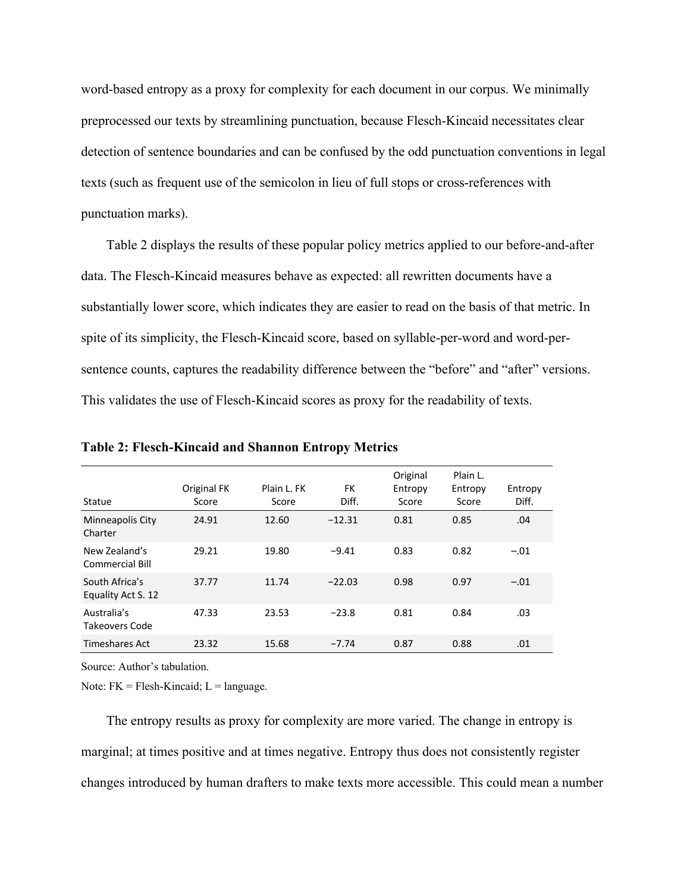word-based entropy as a proxy for complexity for each document in our corpus. We minimally preprocessed our texts by streamlining punctuation, because Flesch-Kincaid necessitates clear detection of sentence boundaries and can be confused by the odd punctuation conventions in legal texts (such as frequent use of the semicolon in lieu of full stops or cross-references with punctuation marks).

Table 2 displays the results of these popular policy metrics applied to our before-and-after data. The Flesch-Kincaid measures behave as expected: all rewritten documents have a substantially lower score, which indicates they are easier to read on the basis of that metric. In spite of its simplicity, the Flesch-Kincaid score, based on syllable-per-word and word-persentence counts, captures the readability difference between the "before" and "after" versions. This validates the use of Flesch-Kincaid scores as proxy for the readability of texts.

| Statue                               | Original FK<br>Score | Plain L. FK<br>Score | FK<br>Diff. | Original<br>Entropy<br>Score | Plain L.<br>Entropy<br>Score | Entropy<br>Diff. |
|--------------------------------------|----------------------|----------------------|-------------|------------------------------|------------------------------|------------------|
| Minneapolis City<br>Charter          | 24.91                | 12.60                | $-12.31$    | 0.81                         | 0.85                         | .04              |
| New Zealand's<br>Commercial Bill     | 29.21                | 19.80                | $-9.41$     | 0.83                         | 0.82                         | $-.01$           |
| South Africa's<br>Equality Act S. 12 | 37.77                | 11.74                | $-22.03$    | 0.98                         | 0.97                         | $-.01$           |
| Australia's<br>Takeovers Code        | 47.33                | 23.53                | $-23.8$     | 0.81                         | 0.84                         | .03              |
| <b>Timeshares Act</b>                | 23.32                | 15.68                | $-7.74$     | 0.87                         | 0.88                         | .01              |

**Table 2: Flesch-Kincaid and Shannon Entropy Metrics**

Source: Author's tabulation.

Note:  $FK = Flesh-Kincaid; L = language$ .

The entropy results as proxy for complexity are more varied. The change in entropy is marginal; at times positive and at times negative. Entropy thus does not consistently register changes introduced by human drafters to make texts more accessible. This could mean a number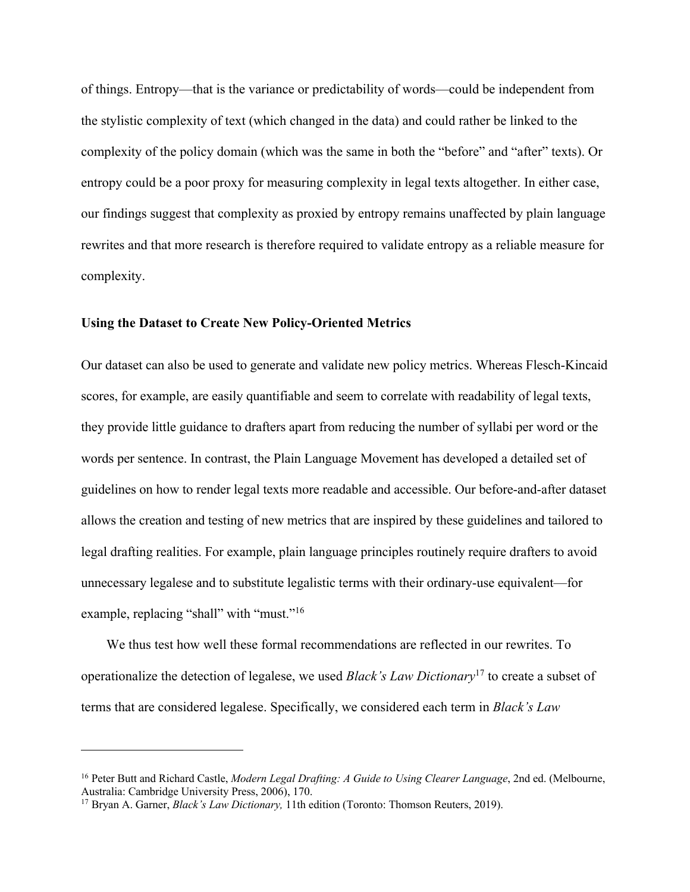of things. Entropy—that is the variance or predictability of words—could be independent from the stylistic complexity of text (which changed in the data) and could rather be linked to the complexity of the policy domain (which was the same in both the "before" and "after" texts). Or entropy could be a poor proxy for measuring complexity in legal texts altogether. In either case, our findings suggest that complexity as proxied by entropy remains unaffected by plain language rewrites and that more research is therefore required to validate entropy as a reliable measure for complexity.

#### **Using the Dataset to Create New Policy-Oriented Metrics**

Our dataset can also be used to generate and validate new policy metrics. Whereas Flesch-Kincaid scores, for example, are easily quantifiable and seem to correlate with readability of legal texts, they provide little guidance to drafters apart from reducing the number of syllabi per word or the words per sentence. In contrast, the Plain Language Movement has developed a detailed set of guidelines on how to render legal texts more readable and accessible. Our before-and-after dataset allows the creation and testing of new metrics that are inspired by these guidelines and tailored to legal drafting realities. For example, plain language principles routinely require drafters to avoid unnecessary legalese and to substitute legalistic terms with their ordinary-use equivalent—for example, replacing "shall" with "must."<sup>16</sup>

We thus test how well these formal recommendations are reflected in our rewrites. To operationalize the detection of legalese, we used *Black's Law Dictionary*<sup>17</sup> to create a subset of terms that are considered legalese. Specifically, we considered each term in *Black's Law* 

<sup>16</sup> Peter Butt and Richard Castle, *Modern Legal Drafting: A Guide to Using Clearer Language*, 2nd ed. (Melbourne, Australia: Cambridge University Press, 2006), 170.

<sup>17</sup> Bryan A. Garner, *Black's Law Dictionary,* 11th edition (Toronto: Thomson Reuters, 2019).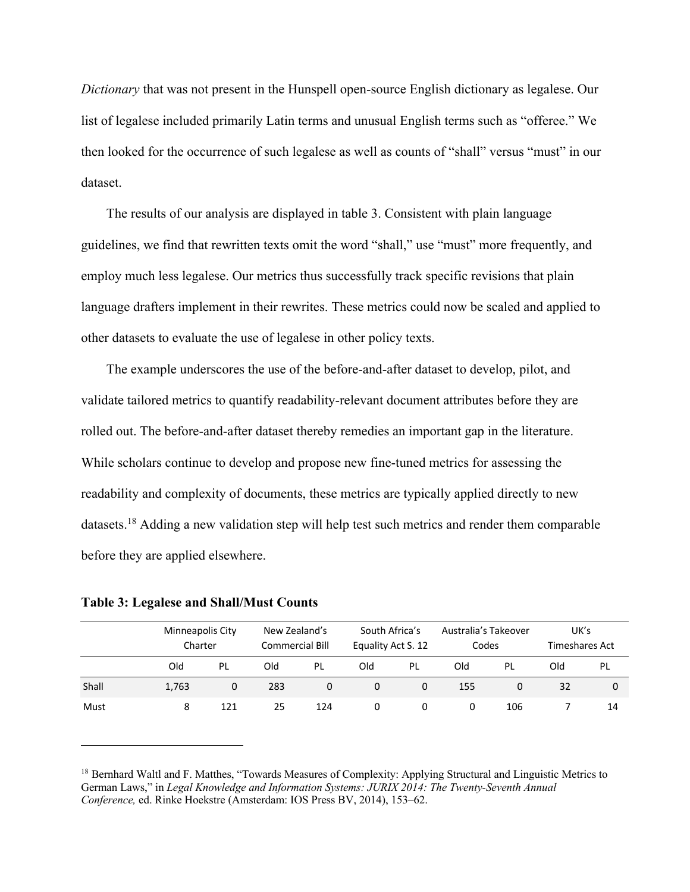*Dictionary* that was not present in the Hunspell open-source English dictionary as legalese. Our list of legalese included primarily Latin terms and unusual English terms such as "offeree." We then looked for the occurrence of such legalese as well as counts of "shall" versus "must" in our dataset.

The results of our analysis are displayed in table 3. Consistent with plain language guidelines, we find that rewritten texts omit the word "shall," use "must" more frequently, and employ much less legalese. Our metrics thus successfully track specific revisions that plain language drafters implement in their rewrites. These metrics could now be scaled and applied to other datasets to evaluate the use of legalese in other policy texts.

The example underscores the use of the before-and-after dataset to develop, pilot, and validate tailored metrics to quantify readability-relevant document attributes before they are rolled out. The before-and-after dataset thereby remedies an important gap in the literature. While scholars continue to develop and propose new fine-tuned metrics for assessing the readability and complexity of documents, these metrics are typically applied directly to new datasets.18 Adding a new validation step will help test such metrics and render them comparable before they are applied elsewhere.

|       | Minneapolis City<br>Charter |     | New Zealand's<br>Commercial Bill |     |     | South Africa's<br>Equality Act S. 12 |          | Australia's Takeover<br>Codes |     | UK's<br>Timeshares Act |  |
|-------|-----------------------------|-----|----------------------------------|-----|-----|--------------------------------------|----------|-------------------------------|-----|------------------------|--|
|       | Old                         | PL  | Old                              | PL  | Old | PL                                   | Old      | PL                            | Old | <b>PL</b>              |  |
| Shall | 1.763                       | 0   | 283                              | 0   | 0   | 0                                    | 155      | 0                             | 32  | 0                      |  |
| Must  | 8                           | 121 | 25                               | 124 | 0   | 0                                    | $\Omega$ | 106                           |     | 14                     |  |

**Table 3: Legalese and Shall/Must Counts**

<sup>&</sup>lt;sup>18</sup> Bernhard Waltl and F. Matthes, "Towards Measures of Complexity: Applying Structural and Linguistic Metrics to German Laws," in *Legal Knowledge and Information Systems: JURIX 2014: The Twenty-Seventh Annual Conference,* ed. Rinke Hoekstre (Amsterdam: IOS Press BV, 2014), 153–62.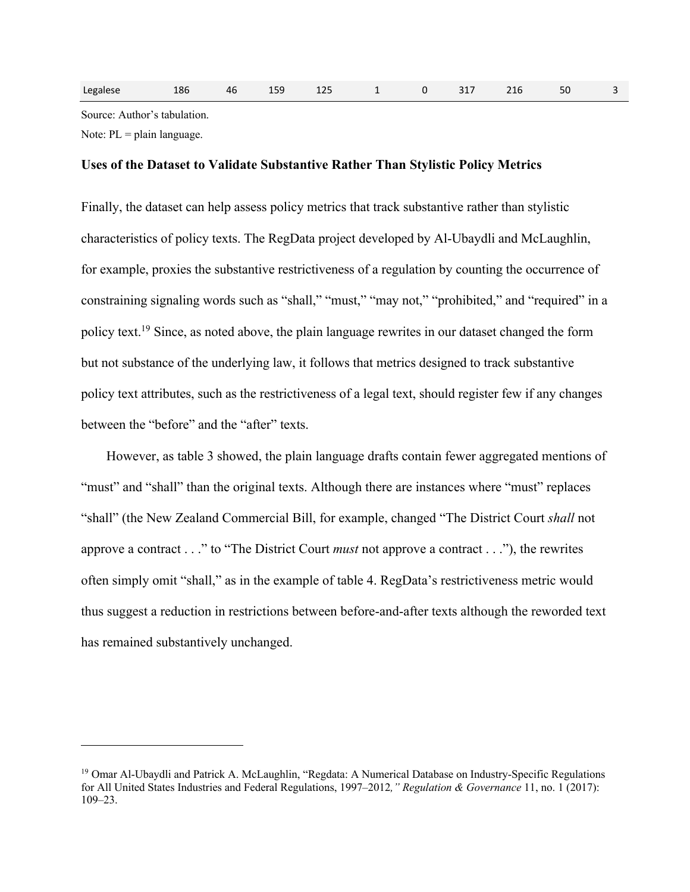| Legalese | 186 | 46 | 159 | 125 | $1 \t 0$ |  | 317 | 216 | 50 | $\overline{\phantom{a}3}$ |
|----------|-----|----|-----|-----|----------|--|-----|-----|----|---------------------------|
|----------|-----|----|-----|-----|----------|--|-----|-----|----|---------------------------|

Source: Author's tabulation.

Note:  $PL = plain language$ .

#### **Uses of the Dataset to Validate Substantive Rather Than Stylistic Policy Metrics**

Finally, the dataset can help assess policy metrics that track substantive rather than stylistic characteristics of policy texts. The RegData project developed by Al‐Ubaydli and McLaughlin, for example, proxies the substantive restrictiveness of a regulation by counting the occurrence of constraining signaling words such as "shall," "must," "may not," "prohibited," and "required" in a policy text.19 Since, as noted above, the plain language rewrites in our dataset changed the form but not substance of the underlying law, it follows that metrics designed to track substantive policy text attributes, such as the restrictiveness of a legal text, should register few if any changes between the "before" and the "after" texts.

However, as table 3 showed, the plain language drafts contain fewer aggregated mentions of "must" and "shall" than the original texts. Although there are instances where "must" replaces "shall" (the New Zealand Commercial Bill, for example, changed "The District Court *shall* not approve a contract . . ." to "The District Court *must* not approve a contract . . ."), the rewrites often simply omit "shall," as in the example of table 4. RegData's restrictiveness metric would thus suggest a reduction in restrictions between before-and-after texts although the reworded text has remained substantively unchanged.

<sup>&</sup>lt;sup>19</sup> Omar Al-Ubaydli and Patrick A. McLaughlin, "Regdata: A Numerical Database on Industry-Specific Regulations for All United States Industries and Federal Regulations, 1997–2012*," Regulation & Governance* 11, no. 1 (2017): 109–23.